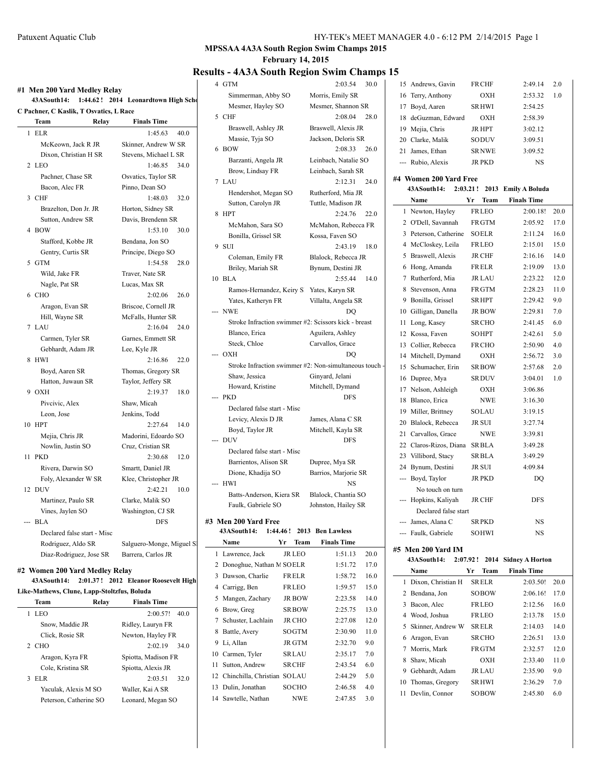| HY-TEK's MEET MANAGER 4.0 - 6:12 PM 2/14/2015 Page 1 |  |  |
|------------------------------------------------------|--|--|
|------------------------------------------------------|--|--|

### **MPSSAA 4A3A South Region Swim Champs 2015**

**February 14, 2015**

### **Results - 4A3A South Region Swim Champs 15**

| #1 Men 200 Yard Medley Relay<br>43ASouth14:<br>1:44.62! 2014 Leonardtown High Scho |                           |  |  |  |  |  |  |
|------------------------------------------------------------------------------------|---------------------------|--|--|--|--|--|--|
| C Pachner, C Kaslik, T Osvatics, L Race                                            |                           |  |  |  |  |  |  |
| Team<br>Relay                                                                      | <b>Finals Time</b>        |  |  |  |  |  |  |
| 1 ELR                                                                              | 1:45.63<br>40.0           |  |  |  |  |  |  |
| McKeown, Jack R JR                                                                 | Skinner, Andrew W SR      |  |  |  |  |  |  |
| Dixon, Christian H SR                                                              | Stevens, Michael L SR     |  |  |  |  |  |  |
| 2 LEO                                                                              | 1:46.85 34.0              |  |  |  |  |  |  |
| Pachner, Chase SR                                                                  | Osvatics, Taylor SR       |  |  |  |  |  |  |
| Bacon, Alec FR                                                                     | Pinno, Dean SO            |  |  |  |  |  |  |
| 3 CHF                                                                              | 1:48.03<br>32.0           |  |  |  |  |  |  |
| Brazelton, Don Jr. JR                                                              | Horton, Sidney SR         |  |  |  |  |  |  |
| Sutton, Andrew SR                                                                  | Davis, Brendenn SR        |  |  |  |  |  |  |
| 4 BOW                                                                              | 1:53.10<br>30.0           |  |  |  |  |  |  |
| Stafford, Kobbe JR                                                                 | Bendana, Jon SO           |  |  |  |  |  |  |
| Gentry, Curtis SR                                                                  | Principe, Diego SO        |  |  |  |  |  |  |
| 5 GTM                                                                              | 1:54.58<br>28.0           |  |  |  |  |  |  |
| Wild, Jake FR                                                                      | Traver, Nate SR           |  |  |  |  |  |  |
| Nagle, Pat SR                                                                      | Lucas, Max SR             |  |  |  |  |  |  |
| 6 CHO                                                                              | $2:02.06$ 26.0            |  |  |  |  |  |  |
| Aragon, Evan SR                                                                    | Briscoe, Cornell JR       |  |  |  |  |  |  |
| Hill, Wayne SR                                                                     | McFalls, Hunter SR        |  |  |  |  |  |  |
| 7 LAU                                                                              | 2:16.04<br>24.0           |  |  |  |  |  |  |
| Carmen, Tyler SR                                                                   | Garnes, Emmett SR         |  |  |  |  |  |  |
| Gebhardt, Adam JR                                                                  | Lee, Kyle JR              |  |  |  |  |  |  |
| <b>HWI</b><br>8                                                                    | 2:16.86<br>22.0           |  |  |  |  |  |  |
| Boyd, Aaren SR                                                                     | Thomas, Gregory SR        |  |  |  |  |  |  |
| Hatton, Juwaun SR                                                                  | Taylor, Jeffery SR        |  |  |  |  |  |  |
| 9 OXH                                                                              | 2:19.37<br>18.0           |  |  |  |  |  |  |
| Pivcivic, Alex                                                                     | Shaw, Micah               |  |  |  |  |  |  |
| Leon, Jose                                                                         | Jenkins, Todd             |  |  |  |  |  |  |
| 10 HPT                                                                             | 2:27.64<br>14.0           |  |  |  |  |  |  |
| Mejia, Chris JR                                                                    | Madorini, Edoardo SO      |  |  |  |  |  |  |
| Nowlin, Justin SO                                                                  | Cruz, Cristian SR         |  |  |  |  |  |  |
| 11 PKD                                                                             | 2:30.68<br>12.0           |  |  |  |  |  |  |
| Rivera, Darwin SO                                                                  | Smartt, Daniel JR         |  |  |  |  |  |  |
| Foly, Alexander W SR                                                               | Klee, Christopher JR      |  |  |  |  |  |  |
| 12 DUV                                                                             | 2:42.21<br>10.0           |  |  |  |  |  |  |
| Martinez, Paulo SR                                                                 | Clarke, Malik SO          |  |  |  |  |  |  |
| Vines, Jaylen SO                                                                   | Washington, CJ SR         |  |  |  |  |  |  |
| --- BLA                                                                            | <b>DFS</b>                |  |  |  |  |  |  |
| Declared false start - Misc                                                        |                           |  |  |  |  |  |  |
| Rodriguez, Aldo SR                                                                 | Salguero-Monge, Miguel Sl |  |  |  |  |  |  |
| Diaz-Rodriguez, Jose SR                                                            | Barrera, Carlos JR        |  |  |  |  |  |  |
|                                                                                    |                           |  |  |  |  |  |  |

#### **#2 Women 200 Yard Medley Relay**

### **43ASouth14: 2:01.37! 2012 Eleanor Roosevelt High**

**Like-Mathews, Clune, Lapp-Stoltzfus, Boluda Team Relay Finals Time**

| ıeam                   | Kelav<br><b>Finals Time</b> |
|------------------------|-----------------------------|
| LEO<br>1               | 2:00.57!<br>40.0            |
| Snow, Maddie JR        | Ridley, Lauryn FR           |
| Click, Rosie SR        | Newton, Hayley FR           |
| 2 CHO                  | 2:02.19<br>34.0             |
| Aragon, Kyra FR        | Spiotta, Madison FR         |
| Cole, Kristina SR      | Spiotta, Alexis JR          |
| EL R<br>3              | 2:03.51<br>32.0             |
| Yaculak, Alexis M SO   | Waller, Kai A SR            |
| Peterson, Catherine SO | Leonard, Megan SO           |

| 4 GTM                                                  | 2:03.54                   | 30.0 |    | 15 Andrews, Gavin      | <b>FRCHF</b>  | 2:49.14             | 2.0 |
|--------------------------------------------------------|---------------------------|------|----|------------------------|---------------|---------------------|-----|
| Simmerman, Abby SO                                     | Morris, Emily SR          |      |    | 16 Terry, Anthony      | <b>OXH</b>    | 2:53.32             | 1.0 |
| Mesmer, Hayley SO                                      | Mesmer, Shannon SR        |      |    | 17 Boyd, Aaren         | <b>SRHWI</b>  | 2:54.25             |     |
| 5 CHF                                                  | 2:08.04                   | 28.0 | 18 | deGuzman, Edward       | <b>OXH</b>    | 2:58.39             |     |
| Braswell, Ashley JR                                    | Braswell, Alexis JR       |      | 19 | Mejia, Chris           | <b>JR HPT</b> | 3:02.12             |     |
| Massie, Tyja SO                                        | Jackson, Deloris SR       |      |    | 20 Clarke, Malik       | SODUV         | 3:09.51             |     |
| 6 BOW                                                  | 2:08.33                   | 26.0 |    | 21 James, Ethan        | <b>SRNWE</b>  | 3:09.52             |     |
| Barzanti, Angela JR                                    | Leinbach, Natalie SO      |      |    | --- Rubio, Alexis      | <b>JR PKD</b> | <b>NS</b>           |     |
| Brow, Lindsay FR                                       | Leinbach, Sarah SR        |      |    |                        |               |                     |     |
| 7 LAU                                                  | 2:12.31                   | 24.0 |    | #4 Women 200 Yard Free |               |                     |     |
| Hendershot, Megan SO                                   | Rutherford, Mia JR        |      |    | 43ASouth14:            | $2:03.21$ !   | 2013 Emily A Boluda |     |
| Sutton, Carolyn JR                                     | Tuttle, Madison JR        |      |    | Name                   | Team<br>Yr    | <b>Finals Time</b>  |     |
| 8 HPT                                                  | 2:24.76                   | 22.0 |    | 1 Newton, Hayley       | <b>FRLEO</b>  | 2:00.18!            | 20. |
| McMahon, Sara SO                                       | McMahon, Rebecca FR       |      |    | 2 O'Dell, Savannah     | <b>FRGTM</b>  | 2:05.92             | 17. |
| Bonilla, Grissel SR                                    | Kossa, Faven SO           |      |    | 3 Peterson, Catherine  | <b>SOELR</b>  | 2:11.24             | 16. |
| 9 SUI                                                  | 2:43.19                   | 18.0 |    | 4 McCloskey, Leila     | <b>FRLEO</b>  | 2:15.01             | 15. |
| Coleman, Emily FR                                      | Blalock, Rebecca JR       |      |    | 5 Braswell, Alexis     | <b>JR CHF</b> | 2:16.16             | 14. |
| Briley, Mariah SR                                      | Bynum, Destini JR         |      |    | 6 Hong, Amanda         | <b>FRELR</b>  | 2:19.09             | 13. |
| 10 BLA                                                 | 2:55.44                   | 14.0 |    | 7 Rutherford, Mia      | <b>JR LAU</b> | 2:23.22             | 12. |
| Ramos-Hernandez, Keiry S.                              | Yates, Karyn SR           |      |    | 8 Stevenson, Anna      | <b>FRGTM</b>  | 2:28.23             | 11. |
| Yates, Katheryn FR                                     | Villalta, Angela SR       |      | 9  | Bonilla, Grissel       | <b>SRHPT</b>  | 2:29.42             | 9.0 |
| --- NWE                                                | DO                        |      |    | 10 Gilligan, Danella   | <b>JR BOW</b> | 2:29.81             | 7.0 |
| Stroke Infraction swimmer #2: Scissors kick - breast   |                           |      |    | 11 Long, Kasey         | <b>SRCHO</b>  | 2:41.45             | 6.0 |
| Blanco, Erica                                          | Aguilera, Ashley          |      |    | 12 Kossa, Faven        | <b>SOHPT</b>  | 2:42.61             | 5.0 |
| Steck, Chloe                                           | Carvallos, Grace          |      |    | 13 Collier, Rebecca    | <b>FRCHO</b>  | 2:50.90             | 4.0 |
| --- OXH                                                | DO                        |      |    | 14 Mitchell, Dymand    | <b>OXH</b>    | 2:56.72             | 3.0 |
| Stroke Infraction swimmer #2: Non-simultaneous touch - |                           |      | 15 | Schumacher, Erin       | <b>SRBOW</b>  | 2:57.68             | 2.0 |
| Shaw, Jessica                                          | Ginyard, Jelani           |      |    | 16 Dupree, Mya         | <b>SRDUV</b>  | 3:04.01             | 1.0 |
| Howard, Kristine                                       | Mitchell, Dymand          |      |    | 17 Nelson, Ashleigh    | <b>OXH</b>    | 3:06.86             |     |
| --- PKD                                                | <b>DFS</b>                |      | 18 | Blanco, Erica          | <b>NWE</b>    | 3:16.30             |     |
| Declared false start - Misc                            |                           |      |    | 19 Miller, Brittney    | <b>SOLAU</b>  | 3:19.15             |     |
| Levicy, Alexis D JR                                    | James, Alana C SR         |      |    | 20 Blalock, Rebecca    | JR SUI        | 3:27.74             |     |
| Boyd, Taylor JR                                        | Mitchell, Kayla SR        |      |    | 21 Carvallos, Grace    | <b>NWE</b>    | 3:39.81             |     |
| --- DUV                                                | <b>DFS</b>                |      |    | 22 Claros-Rizos, Diana | <b>SRBLA</b>  | 3:49.28             |     |
| Declared false start - Misc                            |                           |      |    | 23 Villibord, Stacy    | <b>SRBLA</b>  | 3:49.29             |     |
| Barrientos, Alison SR                                  | Dupree, Mya SR            |      |    | 24 Bynum, Destini      | <b>JR SUI</b> | 4:09.84             |     |
| Dione, Khadija SO                                      | Barrios, Marjorie SR      |      |    | --- Boyd, Taylor       | <b>JR PKD</b> | DQ                  |     |
| --- HWI                                                | NS                        |      |    | No touch on turn       |               |                     |     |
| Batts-Anderson, Kiera SR                               | Blalock, Chantia SO       |      |    | --- Hopkins, Kaliyah   | <b>JR CHF</b> | <b>DFS</b>          |     |
| Faulk, Gabriele SO                                     | Johnston, Hailey SR       |      |    | Declared false start   |               |                     |     |
| #3 Men 200 Yard Free                                   |                           |      |    | --- James, Alana C     | <b>SRPKD</b>  | NS.                 |     |
| 43ASouth14:                                            | 1:44.46! 2013 Ben Lawless |      |    | --- Faulk, Gabriele    | SOHWI         | <b>NS</b>           |     |
|                                                        |                           |      |    |                        |               |                     |     |

|    | Name                           | Yr | Team          | <b>Finals Time</b> |      |
|----|--------------------------------|----|---------------|--------------------|------|
|    | 1 Lawrence, Jack               |    | <b>JR LEO</b> | 1:51.13            | 20.0 |
|    | 2 Donoghue, Nathan M SOELR     |    |               | 1:51.72            | 17.0 |
| 3  | Dawson, Charlie                |    | FRELR         | 1:58.72            | 16.0 |
|    | 4 Carrigg, Ben                 |    | <b>FRLEO</b>  | 1:59.57            | 15.0 |
|    | 5 Mangen, Zachary              |    | <b>JR BOW</b> | 2:23.58            | 14.0 |
| 6  | Brow, Greg                     |    | <b>SR BOW</b> | 2:25.75            | 13.0 |
|    | 7 Schuster, Lachlain           |    | <b>JR CHO</b> | 2:27.08            | 12.0 |
| 8  | Battle, Avery                  |    | <b>SOGTM</b>  | 2:30.90            | 11.0 |
| 9  | Li, Allan                      |    | <b>JR GTM</b> | 2:32.70            | 9.0  |
|    | 10 Carmen, Tyler               |    | SRLAU         | 2:35.17            | 7.0  |
| 11 | Sutton, Andrew                 |    | <b>SRCHF</b>  | 2:43.54            | 6.0  |
|    | 12 Chinchilla, Christian SOLAU |    |               | 2:44.29            | 5.0  |
| 13 | Dulin, Jonathan                |    | SOCHO         | 2:46.58            | 4.0  |
|    | 14 Sawtelle, Nathan            |    | <b>NWE</b>    | 2:47.85            | 3.0  |

|                                                                       |                        |  |               | .                             |      |  |  |  |  |
|-----------------------------------------------------------------------|------------------------|--|---------------|-------------------------------|------|--|--|--|--|
|                                                                       | 16 Terry, Anthony      |  | OXH           | 2:53.32                       | 1.0  |  |  |  |  |
|                                                                       | 17 Boyd, Aaren         |  | <b>SRHWI</b>  | 2:54.25                       |      |  |  |  |  |
|                                                                       | 18 deGuzman, Edward    |  | OXH           | 2:58.39                       |      |  |  |  |  |
|                                                                       | 19 Mejia, Chris        |  | JR HPT        | 3:02.12                       |      |  |  |  |  |
|                                                                       | 20 Clarke, Malik       |  | <b>SODUV</b>  | 3:09.51                       |      |  |  |  |  |
|                                                                       | 21 James, Ethan        |  | <b>SRNWE</b>  | 3:09.52                       |      |  |  |  |  |
|                                                                       | --- Rubio, Alexis      |  | JR PKD        | <b>NS</b>                     |      |  |  |  |  |
|                                                                       |                        |  |               |                               |      |  |  |  |  |
| #4 Women 200 Yard Free<br>43ASouth14: 2:03.21!<br>2013 Emily A Boluda |                        |  |               |                               |      |  |  |  |  |
|                                                                       | Name                   |  | Yr Team       | <b>Finals Time</b>            |      |  |  |  |  |
|                                                                       | 1 Newton, Hayley       |  | <b>FRLEO</b>  | 2:00.18!                      | 20.0 |  |  |  |  |
|                                                                       | 2 O'Dell, Savannah     |  | <b>FRGTM</b>  | 2:05.92                       | 17.0 |  |  |  |  |
|                                                                       | 3 Peterson, Catherine  |  | <b>SOELR</b>  | 2:11.24                       | 16.0 |  |  |  |  |
|                                                                       | 4 McCloskey, Leila     |  | <b>FRLEO</b>  | 2:15.01                       | 15.0 |  |  |  |  |
|                                                                       |                        |  |               |                               |      |  |  |  |  |
|                                                                       | 5 Braswell, Alexis     |  | <b>JR CHF</b> | 2:16.16                       | 14.0 |  |  |  |  |
|                                                                       | 6 Hong, Amanda         |  | <b>FRELR</b>  | 2:19.09                       | 13.0 |  |  |  |  |
|                                                                       | 7 Rutherford, Mia      |  | JR LAU        | 2:23.22                       | 12.0 |  |  |  |  |
| 8                                                                     | Stevenson, Anna        |  | <b>FRGTM</b>  | 2:28.23                       | 11.0 |  |  |  |  |
|                                                                       | 9 Bonilla, Grissel     |  | <b>SRHPT</b>  | 2:29.42                       | 9.0  |  |  |  |  |
|                                                                       | 10 Gilligan, Danella   |  | <b>JR BOW</b> | 2:29.81                       | 7.0  |  |  |  |  |
|                                                                       | 11 Long, Kasey         |  | <b>SRCHO</b>  | 2:41.45                       | 6.0  |  |  |  |  |
|                                                                       | 12 Kossa, Faven        |  | SOHPT         | 2:42.61                       | 5.0  |  |  |  |  |
|                                                                       | 13 Collier, Rebecca    |  | FR CHO        | 2:50.90                       | 4.0  |  |  |  |  |
|                                                                       | 14 Mitchell, Dymand    |  | OXH           | 2:56.72                       | 3.0  |  |  |  |  |
|                                                                       | 15 Schumacher, Erin    |  | <b>SRBOW</b>  | 2:57.68                       | 2.0  |  |  |  |  |
|                                                                       | 16 Dupree, Mya         |  | <b>SRDUV</b>  | 3:04.01                       | 1.0  |  |  |  |  |
|                                                                       | 17 Nelson, Ashleigh    |  | OXH           | 3:06.86                       |      |  |  |  |  |
|                                                                       | 18 Blanco, Erica       |  | <b>NWE</b>    | 3:16.30                       |      |  |  |  |  |
|                                                                       | 19 Miller, Brittney    |  | SOLAU         | 3:19.15                       |      |  |  |  |  |
|                                                                       | 20 Blalock, Rebecca    |  | JR SUI        | 3:27.74                       |      |  |  |  |  |
|                                                                       | 21 Carvallos, Grace    |  | <b>NWE</b>    | 3:39.81                       |      |  |  |  |  |
|                                                                       | 22 Claros-Rizos, Diana |  | SRBLA         | 3:49.28                       |      |  |  |  |  |
|                                                                       | 23 Villibord, Stacy    |  | <b>SRBLA</b>  | 3:49.29                       |      |  |  |  |  |
|                                                                       | 24 Bynum, Destini      |  | JR SUI        | 4:09.84                       |      |  |  |  |  |
|                                                                       | --- Boyd, Taylor       |  | <b>JR PKD</b> | DO                            |      |  |  |  |  |
|                                                                       | No touch on turn       |  |               |                               |      |  |  |  |  |
|                                                                       | --- Hopkins, Kaliyah   |  | <b>JR CHF</b> | <b>DFS</b>                    |      |  |  |  |  |
|                                                                       | Declared false start   |  |               |                               |      |  |  |  |  |
|                                                                       | --- James, Alana C     |  | <b>SRPKD</b>  | NS                            |      |  |  |  |  |
|                                                                       | --- Faulk, Gabriele    |  | <b>SOHWI</b>  | <b>NS</b>                     |      |  |  |  |  |
|                                                                       | #5 Men 200 Yard IM     |  |               |                               |      |  |  |  |  |
|                                                                       | 43ASouth14:            |  |               | 2:07.92! 2014 Sidney A Horton |      |  |  |  |  |
|                                                                       |                        |  |               |                               |      |  |  |  |  |

|    | Name                 | Yr | <b>Team</b>   | <b>Finals Time</b> |      |
|----|----------------------|----|---------------|--------------------|------|
|    | 1 Dixon, Christian H |    | <b>SRELR</b>  | 2:03.50!           | 20.0 |
|    | 2 Bendana, Jon       |    | <b>SOBOW</b>  | 2:06.16!           | 17.0 |
| 3  | Bacon, Alec          |    | <b>FRLEO</b>  | 2:12.56            | 16.0 |
| 4  | Wood, Joshua         |    | <b>FRLEO</b>  | 2:13.78            | 15.0 |
|    | 5 Skinner, Andrew W  |    | <b>SRELR</b>  | 2:14.03            | 14.0 |
|    | 6 Aragon, Evan       |    | <b>SRCHO</b>  | 2:26.51            | 13.0 |
| 7  | Morris, Mark         |    | <b>FRGTM</b>  | 2:32.57            | 12.0 |
| 8  | Shaw, Micah          |    | <b>OXH</b>    | 2:33.40            | 11.0 |
| 9  | Gebhardt, Adam       |    | <b>JR LAU</b> | 2:35.90            | 9.0  |
| 10 | Thomas, Gregory      |    | <b>SRHWI</b>  | 2:36.29            | 7.0  |
| 11 | Devlin, Connor       |    | SOBOW         | 2:45.80            | 6.0  |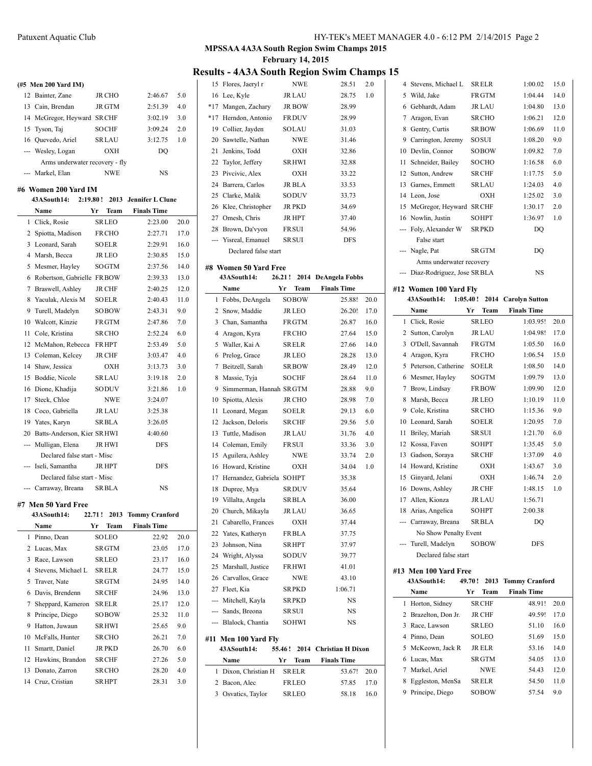|                                | (#5 Men 200 Yard IM)       |               |         |     |  |  |  |
|--------------------------------|----------------------------|---------------|---------|-----|--|--|--|
|                                | 12 Bainter, Zane           | <b>JR CHO</b> | 2:46.67 | 5.0 |  |  |  |
|                                | 13 Cain, Brendan           | <b>JR GTM</b> | 2:51.39 | 4.0 |  |  |  |
|                                | 14 McGregor, Heyward SRCHF |               | 3:02.19 | 3.0 |  |  |  |
|                                | 15 Tyson, Tai              | SOCHF         | 3:09.24 | 2.0 |  |  |  |
|                                | 16 Ouevedo, Ariel          | <b>SRLAU</b>  | 3:12.75 | 1.0 |  |  |  |
|                                | --- Wesley, Logan          | OXH           | DO      |     |  |  |  |
| Arms underwater recovery - fly |                            |               |         |     |  |  |  |
|                                | --- Markel, Elan           | NWE           | NS      |     |  |  |  |

#### **#6 Women 200 Yard IM**

| 43ASouth14: |                               | 2:19.80! | 2013          | <b>Jennifer L Clune</b> |      |
|-------------|-------------------------------|----------|---------------|-------------------------|------|
|             | Name                          | Yr       | Team          | <b>Finals Time</b>      |      |
| 1           | Click, Rosie                  |          | <b>SRLEO</b>  | 2:23.00                 | 20.0 |
| 2           | Spiotta, Madison              |          | FR CHO        | 2:27.71                 | 17.0 |
| 3           | Leonard, Sarah                |          | <b>SOELR</b>  | 2:29.91                 | 16.0 |
| 4           | Marsh, Becca                  |          | JR LEO        | 2:30.85                 | 15.0 |
| 5           | Mesmer, Hayley                |          | SOGTM         | 2:37.56                 | 14.0 |
| 6           | Robertson, Gabrielle          |          | FR BOW        | 2:39.33                 | 13.0 |
| 7           | Braswell, Ashley              |          | <b>JR CHF</b> | 2:40.25                 | 12.0 |
| 8           | Yaculak, Alexis M             |          | <b>SOELR</b>  | 2:40.43                 | 11.0 |
| 9           | Turell, Madelyn               |          | SOBOW         | 2:43.31                 | 9.0  |
| 10          | Walcott, Kinzie               |          | FR GTM        | 2:47.86                 | 7.0  |
| 11          | Cole, Kristina                |          | <b>SR CHO</b> | 2:52.24                 | 6.0  |
| 12          | McMahon, Rebecca              |          | <b>FRHPT</b>  | 2:53.49                 | 5.0  |
| 13          | Coleman, Kelcey               |          | <b>JR CHF</b> | 3:03.47                 | 4.0  |
| 14          | Shaw, Jessica                 |          | OXH           | 3:13.73                 | 3.0  |
| 15          | Boddie, Nicole                |          | <b>SRLAU</b>  | 3:19.18                 | 2.0  |
| 16          | Dione, Khadija                |          | SODUV         | 3:21.86                 | 1.0  |
| 17          | Steck, Chloe                  |          | <b>NWE</b>    | 3:24.07                 |      |
| 18          | Coco, Gabriella               |          | <b>JR LAU</b> | 3:25.38                 |      |
|             | 19 Yates, Karyn               |          | <b>SRBLA</b>  | 3:26.05                 |      |
|             | 20 Batts-Anderson, Kier SRHWI |          |               | 4:40.60                 |      |
| ---         | Mulligan, Elena               |          | <b>JR HWI</b> | DFS                     |      |
|             | Declared false start - Misc   |          |               |                         |      |
|             | Iseli, Samantha               |          | JR HPT        | DFS                     |      |
|             | Declared false start - Misc   |          |               |                         |      |
|             | Carraway, Breana              |          | <b>SRBLA</b>  | <b>NS</b>               |      |

#### **#7 Men 50 Yard Free**

| 43ASouth14: |                    | 22.71! |               | 2013 Tommy Cranford |      |
|-------------|--------------------|--------|---------------|---------------------|------|
|             | <b>Name</b>        | Yr     | Team          | <b>Finals Time</b>  |      |
| 1.          | Pinno, Dean        |        | <b>SOLEO</b>  | 22.92               | 20.0 |
| 2           | Lucas, Max         |        | <b>SRGTM</b>  | 23.05               | 17.0 |
| 3           | Race, Lawson       |        | <b>SRLEO</b>  | 23.17               | 16.0 |
| 4           | Stevens, Michael L |        | <b>SRELR</b>  | 24.77               | 15.0 |
| 5           | Traver, Nate       |        | <b>SRGTM</b>  | 24.95               | 14.0 |
| 6           | Davis, Brendenn    |        | <b>SR CHF</b> | 24.96               | 13.0 |
| 7           | Sheppard, Kameron  |        | <b>SRELR</b>  | 25.17               | 12.0 |
| 8           | Principe, Diego    |        | SOBOW         | 25.32               | 11.0 |
| 9           | Hatton, Juwaun     |        | <b>SRHWI</b>  | 25.65               | 9.0  |
| 10          | McFalls, Hunter    |        | <b>SRCHO</b>  | 26.21               | 7.0  |
| 11          | Smartt, Daniel     |        | <b>JR PKD</b> | 26.70               | 6.0  |
| 12          | Hawkins, Brandon   |        | SR CHF        | 27.26               | 5.0  |
| 13          | Donato, Zarron     |        | <b>SRCHO</b>  | 28.20               | 4.0  |
| 14          | Cruz, Cristian     |        | <b>SRHPT</b>  | 28.31               | 3.0  |

## **MPSSAA 4A3A South Region Swim Champs 2015 February 14, 2015**

# **Results - 4A3A South Region Swim Champs 15**

| 15    | Flores, Jaeryl r     | <b>NWE</b>    | 28.51      | 2.0 |
|-------|----------------------|---------------|------------|-----|
|       | 16 Lee, Kyle         | JR LAU        | 28.75      | 1.0 |
|       | *17 Mangen, Zachary  | <b>JR BOW</b> | 28.99      |     |
| $*17$ | Herndon, Antonio     | <b>FRDUV</b>  | 28.99      |     |
|       | 19 Collier, Jayden   | SOLAU         | 31.03      |     |
|       | 20 Sawtelle, Nathan  | <b>NWE</b>    | 31.46      |     |
| 21    | Jenkins, Todd        | OXH           | 32.86      |     |
|       | 22 Taylor, Jeffery   | <b>SRHWI</b>  | 32.88      |     |
|       | 23 Pivcivic, Alex    | OXH           | 33.22      |     |
|       | 24 Barrera, Carlos   | JR BLA        | 33.53      |     |
|       | 25 Clarke, Malik     | <b>SODUV</b>  | 33.73      |     |
|       | 26 Klee, Christopher | <b>JR PKD</b> | 34.69      |     |
|       | 27 Omesh, Chris      | <b>JR HPT</b> | 37.40      |     |
|       | 28 Brown, Da'vyon    | <b>FRSUI</b>  | 54.96      |     |
|       | --- Yisreal, Emanuel | <b>SR SUI</b> | <b>DFS</b> |     |
|       | Declared false start |               |            |     |

# **#8 Women 50 Yard Free**

## **43ASouth14: 26.21 ! 2014 DeAngela Fobbs Name Yr Team Finals Time** Fobbs, DeAngela SOBOW 25.88! 20.0

| 1  | Dixon, Christian H                  |         | <b>SRELR</b>  |                        | 53.67!  | 20.0 |
|----|-------------------------------------|---------|---------------|------------------------|---------|------|
|    | Name                                | Yr      | Team          | <b>Finals Time</b>     |         |      |
|    | #11 Men 100 Yard Fly<br>43ASouth14: | 55.46 ! |               | 2014 Christian H Dixon |         |      |
|    |                                     |         |               |                        |         |      |
|    | --- Blalock, Chantia                |         | SOHWI         |                        | NS      |      |
|    | --- Sands, Breona                   |         | SR SUI        |                        | NS      |      |
|    | --- Mitchell, Kayla                 |         | SR PKD        |                        | NS      |      |
|    | 27 Fleet, Kia                       |         | <b>SRPKD</b>  |                        | 1:06.71 |      |
|    | 26 Carvallos, Grace                 |         | NWE           |                        | 43.10   |      |
|    | 25 Marshall, Justice                |         | <b>FRHWI</b>  |                        | 41.01   |      |
|    | 24 Wright, Alyssa                   |         | <b>SODUV</b>  |                        | 39.77   |      |
| 23 | Johnson, Nina                       |         | <b>SRHPT</b>  |                        | 37.97   |      |
|    | 22 Yates, Katheryn                  |         | <b>FRBLA</b>  |                        | 37.75   |      |
| 21 | Cabarello, Frances                  |         | ОХН           |                        | 37.44   |      |
|    | 20 Church, Mikayla                  |         | JR LAU        |                        | 36.65   |      |
|    | 19 Villalta, Angela                 |         | SR BLA        |                        | 36.00   |      |
| 18 | Dupree, Mya                         |         | <b>SRDUV</b>  |                        | 35.64   |      |
|    | 17 Hernandez, Gabriela              |         | <b>SOHPT</b>  |                        | 35.38   |      |
|    | 16 Howard, Kristine                 |         | ОХН           |                        | 34.04   | 1.0  |
|    | 15 Aguilera, Ashley                 |         | <b>NWE</b>    |                        | 33.74   | 2.0  |
| 14 | Coleman, Emily                      |         | <b>FRSUI</b>  |                        | 33.36   | 3.0  |
|    | 13 Tuttle, Madison                  |         | <b>JR LAU</b> |                        | 31.76   | 4.0  |
|    | 12 Jackson, Deloris                 |         | <b>SR CHF</b> |                        | 29.56   | 5.0  |
| 11 | Leonard, Megan                      |         | SOELR         |                        | 29.13   | 6.0  |
| 10 | Spiotta, Alexis                     |         | JR CHO        |                        | 28.98   | 7.0  |
| 9  | Simmerman, Hannah SRGTM             |         |               |                        | 28.88   | 9.0  |
| 8  | Massie, Tyja                        |         | SOCHF         |                        | 28.64   | 11.0 |
| 7  | Beitzell, Sarah                     |         | <b>SRBOW</b>  |                        | 28.49   | 12.0 |
|    | 6 Prelog, Grace                     |         | JR LEO        |                        | 28.28   | 13.0 |
|    | 5 Waller, Kai A                     |         | SRELR         |                        | 27.66   | 14.0 |
|    | 4 Aragon, Kyra                      |         | <b>FRCHO</b>  |                        | 27.64   | 15.0 |
| 3  | Chan, Samantha                      |         | <b>FRGTM</b>  |                        | 26.87   | 16.0 |
|    | 2 Snow, Maddie                      |         | <b>JR LEO</b> |                        | 26.20!  | 17.0 |
|    |                                     |         |               |                        |         |      |

|                         | 10 Devlin, Connor                       |        | SOBOW         | 1:09.82               | 7.0  |
|-------------------------|-----------------------------------------|--------|---------------|-----------------------|------|
| 11                      | Schneider, Bailey                       |        | SOCHO         | 1:16.58               | 6.0  |
|                         | 12 Sutton, Andrew                       |        | <b>SRCHF</b>  | 1:17.75               | 5.0  |
|                         | 13 Garnes, Emmett                       |        | SRLAU         | 1:24.03               | 4.0  |
|                         | 14 Leon, Jose                           |        | <b>OXH</b>    | 1:25.02               | 3.0  |
|                         | 15 McGregor, Heyward SRCHF              |        |               | 1:30.17               | 2.0  |
|                         | 16 Nowlin, Justin                       |        | <b>SOHPT</b>  | 1:36.97               | 1.0  |
| ---                     | Foly, Alexander W                       |        | <b>SRPKD</b>  | DO                    |      |
|                         | False start                             |        |               |                       |      |
| ---                     | Nagle, Pat                              |        | <b>SRGTM</b>  | DQ                    |      |
|                         | Arms underwater recovery                |        |               |                       |      |
|                         | Diaz-Rodriguez, Jose SRBLA<br><b>NS</b> |        |               |                       |      |
|                         | #12 Women 100 Yard Fly                  |        |               |                       |      |
|                         | 43ASouth14:<br>1:05.40!                 |        | 2014          | <b>Carolyn Sutton</b> |      |
|                         | Name                                    | Yr     | <b>Team</b>   | <b>Finals Time</b>    |      |
|                         | 1 Click, Rosie                          |        | <b>SRLEO</b>  | 1:03.95!              | 20.0 |
|                         | 2 Sutton, Carolyn                       |        | <b>JR LAU</b> | 1:04.98!              | 17.0 |
|                         | 3 O'Dell, Savannah                      |        | <b>FRGTM</b>  | 1:05.50               | 16.0 |
|                         | 4 Aragon, Kyra                          |        | <b>FRCHO</b>  | 1:06.54               | 15.0 |
| 5                       | Peterson, Catherine                     |        | <b>SOELR</b>  | 1:08.50               | 14.0 |
|                         | 6 Mesmer, Hayley                        |        | <b>SOGTM</b>  | 1:09.79               | 13.0 |
|                         | 7 Brow, Lindsay                         |        | <b>FRBOW</b>  | 1:09.90               | 12.0 |
| 8                       | Marsh, Becca                            |        | JR LEO        | 1:10.19               | 11.0 |
|                         | 9 Cole, Kristina                        |        | <b>SRCHO</b>  | 1:15.36               | 9.0  |
|                         | 10 Leonard, Sarah                       |        | <b>SOELR</b>  | 1:20.95               | 7.0  |
|                         | 11 Briley, Mariah                       |        | SR SUI        | 1:21.70               | 6.0  |
|                         | 12 Kossa, Faven                         |        | <b>SOHPT</b>  | 1:35.45               | 5.0  |
|                         | 13 Gadson, Soraya                       |        | <b>SRCHF</b>  | 1:37.09               | 4.0  |
| 14                      | Howard, Kristine                        |        | OXH           | 1:43.67               | 3.0  |
|                         | 15 Ginyard, Jelani                      |        | OXH           | 1:46.74               | 2.0  |
|                         | 16 Downs, Ashley                        |        | <b>JR CHF</b> | 1:48.15               | 1.0  |
|                         | 17 Allen, Kionza                        |        | <b>JR LAU</b> | 1:56.71               |      |
|                         | 18 Arias, Angelica                      |        | <b>SOHPT</b>  | 2:00.38               |      |
|                         | --- Carraway, Breana                    |        | <b>SRBLA</b>  | DQ                    |      |
|                         | No Show Penalty Event                   |        |               |                       |      |
|                         | Turell, Madelyn                         |        | <b>SOBOW</b>  | <b>DFS</b>            |      |
|                         | Declared false start                    |        |               |                       |      |
|                         | #13  Men 100 Yard Free                  |        |               |                       |      |
|                         | 43ASouth14:                             | 49.70! | 2013          | <b>Tommy Cranford</b> |      |
|                         | Name                                    | Yr     | Team          | <b>Finals Time</b>    |      |
|                         | 1 Horton, Sidney                        |        | <b>SRCHF</b>  | 48.91!                | 20.0 |
|                         | 2 Brazelton, Don Jr.                    |        | <b>JR CHF</b> | 49.59!                | 17.0 |
|                         | 3 Race, Lawson                          |        | <b>SRLEO</b>  | 51.10                 | 16.0 |
| $\overline{\mathbf{4}}$ | Pinno, Dean                             |        | <b>SOLEO</b>  | 51.69                 | 15.0 |
| 5                       | McKeown, Jack R                         |        | <b>JR ELR</b> | 53.16                 | 14.0 |

Principe, Diego SOBOW 57.54 9.0

 Stevens, Michael L SRELR 1:00.02 15.0 Wild, Jake FRGTM 1:04.44 14.0 Gebhardt, Adam JR LAU 1:04.80 13.0 Aragon, Evan SRCHO 1:06.21 12.0 Gentry, Curtis SRBOW 1:06.69 11.0 9 Carrington, Jeremy SOSUI 1:08.20 9.0

| 43ASouth14:                |             | 55.46! 2014 Christian H Dixon | 5 MCKeown, Jack R JR ELR |               | 53.16 14.0 |      |
|----------------------------|-------------|-------------------------------|--------------------------|---------------|------------|------|
| <b>Name</b>                | Team<br>Yr. | <b>Finals Time</b>            | 6 Lucas, Max             | <b>SR GTM</b> | 54.05      | 13.0 |
| 1 Dixon. Christian H SRELR |             | 20.0<br>53.67!                | 7 Markel, Ariel          | NWE           | 54.43      | 12.0 |
| 2 Bacon, Alec              | FRLEO       | 17.0<br>57.85                 | 8 Eggleston, MenSa       | SRELR         | 54.50      | 11.0 |

 $\overline{\phantom{a}}$ 

Osvatics, Taylor SRLEO 58.18 16.0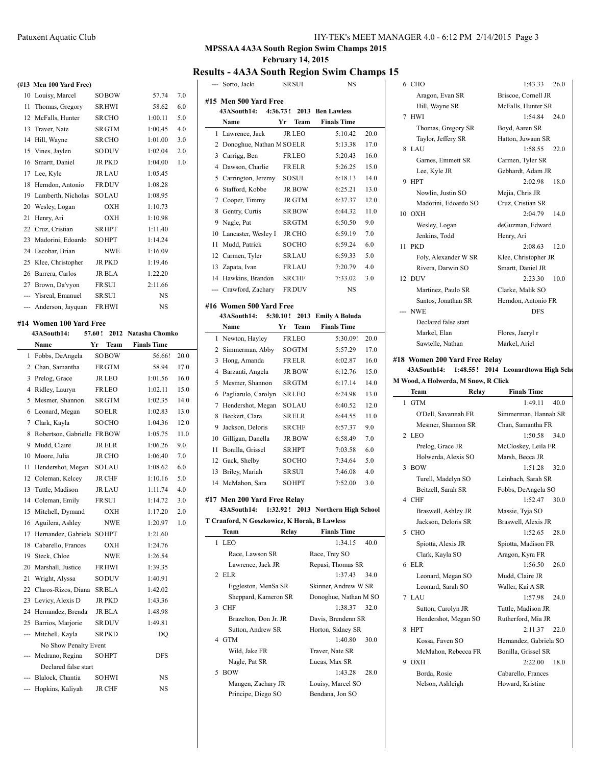#### Patuxent Aquatic Club HY-TEK's MEET MANAGER 4.0 - 6:12 PM 2/14/2015 Page 3

#### **MPSSAA 4A3A South Region Swim Champs 2015 February 14, 2015**

### **Results - 4A3A South Region Swim Champs 15**

|     | (#13 Men 100 Yard Free)    |        |               |                    |      |
|-----|----------------------------|--------|---------------|--------------------|------|
|     | 10 Louisy, Marcel          |        | SOBOW         | 57.74              | 7.0  |
| 11  | Thomas, Gregory            |        | <b>SRHWI</b>  | 58.62              | 6.0  |
|     | 12 McFalls, Hunter         |        | SR CHO        | 1:00.11            | 5.0  |
|     | 13 Traver, Nate            |        | <b>SRGTM</b>  | 1:00.45            | 4.0  |
| 14  | Hill, Wayne                |        | <b>SR CHO</b> | 1:01.00            | 3.0  |
| 15  | Vines, Jaylen              |        | SODUV         | 1:02.04            | 2.0  |
|     | 16 Smartt, Daniel          |        | JR PKD        | 1:04.00            | 1.0  |
|     | 17 Lee, Kyle               |        | <b>JR LAU</b> | 1:05.45            |      |
| 18  | Herndon, Antonio           |        | <b>FRDUV</b>  | 1:08.28            |      |
| 19  | Lamberth, Nicholas         |        | SOLAU         | 1:08.95            |      |
| 20  | Wesley, Logan              |        | OXH           | 1:10.73            |      |
| 21  | Henry, Ari                 |        | OXH           | 1:10.98            |      |
|     | 22 Cruz, Cristian          |        | SR HPT        | 1:11.40            |      |
| 23  | Madorini, Edoardo          |        | <b>SOHPT</b>  | 1:14.24            |      |
|     | 24 Escobar, Brian          |        | <b>NWE</b>    | 1:16.09            |      |
| 25  | Klee, Christopher          |        | JR PKD        | 1:19.46            |      |
| 26  | Barrera, Carlos            |        | JR BLA        | 1:22.20            |      |
|     | 27 Brown, Da'vyon          |        | <b>FR SUI</b> | 2:11.66            |      |
|     | --- Yisreal, Emanuel       |        | SR SUI        | NS                 |      |
|     | --- Anderson, Jayquan      |        | <b>FRHWI</b>  | NS                 |      |
|     |                            |        |               |                    |      |
|     | #14 Women 100 Yard Free    |        |               |                    |      |
|     | 43ASouth14:                | 57.60! | 2012          | Natasha Chomko     |      |
|     | Name                       | Yr     | Team          | <b>Finals Time</b> |      |
| 1   | Fobbs, DeAngela            |        | <b>SOBOW</b>  | 56.66!             | 20.0 |
|     | 2 Chan, Samantha           |        | <b>FRGTM</b>  | 58.94              | 17.0 |
| 3   | Prelog, Grace              |        | JR LEO        | 1:01.56            | 16.0 |
| 4   | Ridley, Lauryn             |        | FRLEO         | 1:02.11            | 15.0 |
| 5   | Mesmer, Shannon            |        | SR GTM        | 1:02.35            | 14.0 |
| 6   | Leonard, Megan             |        | SOELR         | 1:02.83            | 13.0 |
| 7   | Clark, Kayla               |        | SOCHO         | 1:04.36            | 12.0 |
| 8   | Robertson, Gabrielle FRBOW |        |               | 1:05.75            | 11.0 |
| 9   | Mudd, Claire               |        | <b>JR ELR</b> | 1:06.26            | 9.0  |
| 10  | Moore, Julia               |        | <b>JR CHO</b> | 1:06.40            | 7.0  |
| 11  | Hendershot, Megan          |        | SOLAU         | 1:08.62            | 6.0  |
|     | 12 Coleman, Kelcey         |        | <b>JR CHF</b> | 1:10.16            | 5.0  |
| 13  | Tuttle, Madison            |        | <b>JR LAU</b> | 1:11.74            | 4.0  |
|     | 14 Coleman, Emily          |        | <b>FRSUI</b>  | 1:14.72            | 3.0  |
|     | 15 Mitchell, Dymand        |        | OXH           | 1:17.20            | 2.0  |
|     | 16 Aguilera, Ashley        |        | NWE           | 1:20.97            | 1.0  |
| 17  | Hernandez, Gabriela SOHPT  |        |               | 1:21.60            |      |
|     | 18 Cabarello, Frances      |        | OXH           | 1:24.76            |      |
|     | 19 Steck, Chloe            |        | NWE           | 1:26.54            |      |
|     | 20 Marshall, Justice       |        | <b>FRHWI</b>  | 1:39.35            |      |
| 21  | Wright, Alyssa             |        | SODUV         | 1:40.91            |      |
| 22  | Claros-Rizos, Diana        |        | SR BLA        | 1:42.02            |      |
| 23  | Levicy, Alexis D           |        | <b>JR PKD</b> | 1:43.36            |      |
|     | 24 Hernandez, Brenda       |        | JR BLA        | 1:48.98            |      |
| 25  | Barrios, Marjorie          |        | SR DUV        | 1:49.81            |      |
| --- | Mitchell, Kayla            |        | <b>SRPKD</b>  | DQ                 |      |
|     | No Show Penalty Event      |        |               |                    |      |
|     | --- Medrano, Regina        |        | SOHPT         | DFS                |      |
|     | Declared false start       |        |               |                    |      |
|     | --- Blalock, Chantia       |        | SOHWI         | NS                 |      |
|     | Hopkins, Kaliyah           |        | JR CHF        | NS                 |      |

| --- | Sorto, Jacki                                 |          | SR SUI          | NS                        |      |
|-----|----------------------------------------------|----------|-----------------|---------------------------|------|
|     | #15 Men 500 Yard Free                        |          |                 |                           |      |
|     | 43ASouth14:                                  |          | $4:36.73!$ 2013 | <b>Ben Lawless</b>        |      |
|     | Name                                         | Yr       | Team            | <b>Finals Time</b>        |      |
| 1   | Lawrence, Jack                               |          | <b>JR LEO</b>   | 5:10.42                   | 20.0 |
|     | 2 Donoghue, Nathan M SOELR                   |          |                 | 5:13.38                   | 17.0 |
|     |                                              |          |                 |                           |      |
|     | 3 Carrigg, Ben                               |          | <b>FRLEO</b>    | 5:20.43                   | 16.0 |
|     | 4 Dawson, Charlie                            |          | <b>FRELR</b>    | 5:26.25                   | 15.0 |
|     | 5 Carrington, Jeremy                         |          | SOSUI           | 6:18.13                   | 14.0 |
|     | 6 Stafford, Kobbe                            |          | <b>JR BOW</b>   | 6:25.21                   | 13.0 |
| 7   | Cooper, Timmy                                |          | JR GTM          | 6:37.37                   | 12.0 |
|     | 8 Gentry, Curtis                             |          | <b>SRBOW</b>    | 6:44.32                   | 11.0 |
|     | 9 Nagle, Pat                                 |          | SR GTM          | 6:50.50                   | 9.0  |
|     | 10 Lancaster, Wesley I                       |          | <b>JR CHO</b>   | 6:59.19                   | 7.0  |
|     | 11 Mudd, Patrick                             |          | SOCHO           | 6:59.24                   | 6.0  |
|     | 12 Carmen, Tyler                             |          | SRLAU           | 6:59.33                   | 5.0  |
|     | 13 Zapata, Ivan                              |          | FRLAU           | 7:20.79                   | 4.0  |
|     | 14 Hawkins, Brandon                          |          | <b>SRCHF</b>    | 7:33.02                   | 3.0  |
|     | --- Crawford, Zachary                        |          | <b>FRDUV</b>    | <b>NS</b>                 |      |
|     |                                              |          |                 |                           |      |
|     | #16 Women 500 Yard Free                      |          |                 |                           |      |
|     | 43ASouth14: 5:30.10!                         |          | 2013            | <b>Emily A Boluda</b>     |      |
|     | Name                                         | Yr       | Team            | <b>Finals Time</b>        |      |
|     | 1 Newton, Hayley                             |          | <b>FRLEO</b>    | 5:30.09!                  | 20.0 |
|     | 2 Simmerman, Abby                            |          | SOGTM           | 5:57.29                   | 17.0 |
| 3   | Hong, Amanda                                 |          | <b>FRELR</b>    | 6:02.87                   | 16.0 |
|     | 4 Barzanti, Angela                           |          | <b>JR BOW</b>   | 6:12.76                   | 15.0 |
|     | 5 Mesmer, Shannon                            |          | <b>SRGTM</b>    | 6:17.14                   | 14.0 |
|     | 6 Pagliarulo, Carolyn                        |          | SRLEO           | 6:24.98                   | 13.0 |
| 7   | Hendershot, Megan                            |          | SOLAU           | 6:40.52                   | 12.0 |
| 8   | Beckert, Clara                               |          | SRELR           | 6:44.55                   | 11.0 |
| 9   | Jackson, Deloris                             |          | SR CHF          | 6:57.37                   | 9.0  |
| 10  | Gilligan, Danella                            |          | JR BOW          | 6:58.49                   | 7.0  |
| 11  | Bonilla, Grissel                             |          | <b>SRHPT</b>    | 7:03.58                   | 6.0  |
| 12  | Gack, Shelby                                 |          | <b>SOCHO</b>    | 7:34.64                   | 5.0  |
|     |                                              |          |                 |                           |      |
| 13  | Briley, Mariah                               |          | SR SUI          | 7:46.08                   | 4.0  |
|     | 14 McMahon, Sara                             |          | <b>SOHPT</b>    | 7:52.00                   | 3.0  |
|     | #17 Men 200 Yard Free Relay                  |          |                 |                           |      |
|     | 43ASouth14:                                  | 1:32.92! |                 | 2013 Northern High School |      |
|     | T Cranford, N Goszkowicz, K Horak, B Lawless |          |                 |                           |      |
|     | Team                                         | Relay    |                 | <b>Finals Time</b>        |      |
| 1   | <b>LEO</b>                                   |          |                 | 1:34.15                   | 40.0 |
|     | Race, Lawson SR                              |          |                 | Race, Trey SO             |      |
|     | Lawrence, Jack JR                            |          |                 | Repasi, Thomas SR         |      |
| 2   | ELR                                          |          |                 | 1:37.43                   | 34.0 |
|     | Eggleston, MenSa SR                          |          |                 | Skinner, Andrew W SR      |      |
|     | Sheppard, Kameron SR                         |          |                 | Donoghue, Nathan M SO     |      |
| 3   | <b>CHF</b>                                   |          |                 | 1:38.37                   | 32.0 |
|     | Brazelton, Don Jr. JR                        |          |                 | Davis, Brendenn SR        |      |
|     | Sutton, Andrew SR                            |          |                 | Horton, Sidney SR         |      |
| 4   | GTM                                          |          |                 | 1:40.80                   | 30.0 |
|     |                                              |          |                 |                           |      |
|     | Wild, Jake FR                                |          |                 | Traver, Nate SR           |      |
|     | Nagle, Pat SR                                |          |                 | Lucas, Max SR             |      |
| 5   | <b>BOW</b>                                   |          |                 | 1:43.28                   | 28.0 |
|     | Mangen, Zachary JR                           |          |                 | Louisy, Marcel SO         |      |
|     | Principe, Diego SO                           |          |                 | Bendana, Jon SO           |      |
|     |                                              |          |                 |                           |      |

| J  |                                                 |                                        |  |
|----|-------------------------------------------------|----------------------------------------|--|
|    | 6 CHO                                           | 1:43.33 26.0                           |  |
|    | Aragon, Evan SR                                 | Briscoe, Cornell JR                    |  |
|    | Hill, Wayne SR                                  | McFalls, Hunter SR                     |  |
|    | 7 HWI                                           | 1:54.84<br>24.0                        |  |
|    | Thomas, Gregory SR                              | Boyd, Aaren SR                         |  |
|    | Taylor, Jeffery SR                              | Hatton, Juwaun SR                      |  |
|    | 8 LAU                                           | 1:58.55<br>22.0                        |  |
|    | Garnes, Emmett SR                               | Carmen, Tyler SR                       |  |
|    | Lee, Kyle JR                                    | Gebhardt, Adam JR                      |  |
|    | 9 HPT                                           | 2:02.98<br>18.0                        |  |
|    | Nowlin, Justin SO                               | Mejia, Chris JR                        |  |
|    | Madorini, Edoardo SO                            | Cruz, Cristian SR                      |  |
|    | 10 OXH                                          | 2:04.79<br>14.0                        |  |
|    | Wesley, Logan                                   | deGuzman, Edward                       |  |
|    | Jenkins, Todd                                   | Henry, Ari                             |  |
| 11 | PKD                                             | 2:08.63<br>12.0                        |  |
|    | Foly, Alexander W SR                            | Klee, Christopher JR                   |  |
|    | Rivera, Darwin SO                               | Smartt, Daniel JR                      |  |
|    | 12 DUV                                          | 2:23.30<br>10.0                        |  |
|    | Martinez, Paulo SR                              | Clarke, Malik SO                       |  |
|    | Santos, Jonathan SR<br>--- NWE                  | Herndon, Antonio FR<br><b>DFS</b>      |  |
|    |                                                 |                                        |  |
|    | Declared false start<br>Markel, Elan            | Flores, Jaeryl r                       |  |
|    | Sawtelle, Nathan                                | Markel, Ariel                          |  |
|    |                                                 |                                        |  |
|    | #18 Women 200 Yard Free Relay                   |                                        |  |
|    | 43ASouth14: 1:48.55! 2014 Leonardtown High Scho |                                        |  |
|    | M Wood, A Holwerda, M Snow, R Click             |                                        |  |
|    | Team<br>Relay                                   | <b>Finals Time</b>                     |  |
| 1  | <b>GTM</b>                                      | 1:49.11<br>40.0                        |  |
|    | O'Dell, Savannah FR                             | Simmerman, Hannah SR                   |  |
|    | Mesmer, Shannon SR                              | Chan, Samantha FR                      |  |
|    | 2 LEO                                           | 1:50.58<br>34.0                        |  |
|    | Prelog, Grace JR                                | McCloskey, Leila FR                    |  |
|    | Holwerda, Alexis SO                             | Marsh, Becca JR                        |  |
| 3  | <b>BOW</b>                                      | 1:51.28<br>32.0                        |  |
|    | Turell, Madelyn SO                              | Leinbach, Sarah SR                     |  |
|    | Beitzell, Sarah SR                              | Fobbs, DeAngela SO                     |  |
|    | 4 CHF                                           | 1:52.47<br>30.0                        |  |
|    | Braswell, Ashley JR                             | Massie, Tyja SO                        |  |
|    | Jackson, Deloris SR                             | Braswell, Alexis JR                    |  |
| 5  | CHO                                             | 1:52.65<br>28.0                        |  |
|    | Spiotta, Alexis JR                              | Spiotta, Madison FR                    |  |
|    | Clark, Kayla SO                                 | Aragon, Kyra FR                        |  |
| 6  | ELR                                             | 1:56.50<br>26.0                        |  |
|    | Leonard, Megan SO                               | Mudd, Claire JR                        |  |
|    | Leonard, Sarah SO<br>7 LAU                      | Waller, Kai A SR<br>1:57.98<br>24.0    |  |
|    |                                                 |                                        |  |
|    | Sutton, Carolyn JR                              | Tuttle, Madison JR                     |  |
| 8  | Hendershot, Megan SO<br><b>HPT</b>              | Rutherford, Mia JR<br>2:11.37<br>22.0  |  |
|    |                                                 |                                        |  |
|    | Kossa, Faven SO                                 | Hernandez, Gabriela SO                 |  |
| 9  | McMahon, Rebecca FR<br>OXH                      | Bonilla, Grissel SR<br>2:22.00<br>18.0 |  |
|    | Borda, Rosie                                    | Cabarello, Frances                     |  |
|    | Nelson, Ashleigh                                | Howard, Kristine                       |  |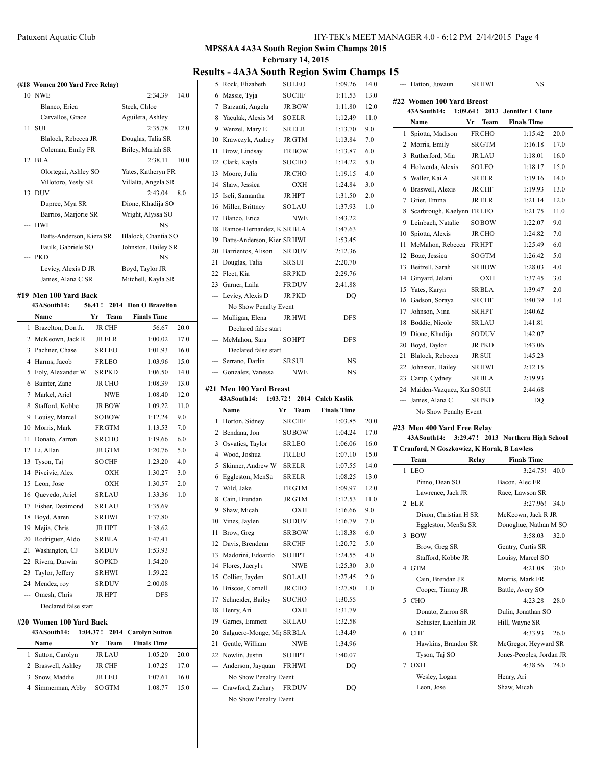## **MPSSAA 4A3A South Region Swim Champs 2015 February 14, 2015**

# **Results - 4A3A South Region Swim Champs**

#### **(#18 Women 200 Yard Free Relay)** 10 NWE 2:34.39 14.0 Blanco, Erica Steck, Chloe Carvallos, Grace Aguilera, Ashley 11 SUI 2:35.78 12.0 Blalock, Rebecca JR Douglas, Talia SR Coleman, Emily FR Briley, Mariah SR 12 BLA 2:38.11 10.0 Olortegui, Ashley SO Yates, Katheryn FR Villotoro, Yesly SR Villalta, Angela SR 13 DUV 2:43.04 8.0 Dupree, Mya SR Dione, Khadija SO Barrios, Marjorie SR Wright, Alyssa SO --- HWI NS Batts-Anderson, Kiera SR Blalock, Chantia SO Faulk, Gabriele SO Johnston, Hailey SR --- PKD NS Levicy, Alexis D JR Boyd, Taylor JR James, Alana C SR Mitchell, Kayla SR **#19 Men 100 Yard Back 43ASouth14: 56.41 ! 2014 Don O Brazelton Name Yr Team Finals Time** 1 Brazelton, Don Jr. JR CHF 56.67 20.0 2 McKeown, Jack R JR ELR 1:00.02 17.0 3 Pachner, Chase SRLEO 1:01.93 16.0 4 Harms, Jacob FRLEO 1:03.96 15.0 5 Foly, Alexander W SRPKD 1:06.50 14.0 6 Bainter, Zane JR CHO 1:08.39 13.0 7 Markel, Ariel NWE 1:08.40 12.0 8 Stafford, Kobbe JR BOW 1:09.22 11.0 9 Louisy, Marcel SOBOW 1:12.24 9.0 10 Morris, Mark FRGTM 1:13.53 7.0 11 Donato, Zarron SRCHO 1:19.66 6.0 12 Li, Allan JR GTM 1:20.76 5.0 13 Tyson, Taj SOCHF 1:23.20 4.0 14 Pivcivic, Alex OXH 1:30.27 3.0 15 Leon, Jose OXH 1:30.57 2.0 16 Quevedo, Ariel SRLAU 1:33.36 1.0 17 Fisher, Dezimond SRLAU 1:35.69 18 Boyd, Aaren SRHWI 1:37.80 19 Mejia, Chris JR HPT 1:38.62 20 Rodriguez, Aldo SRBLA 1:47.41 21 Washington, CJ SRDUV 1:53.93 22 Rivera, Darwin SOPKD 1:54.20 23 Taylor, Jeffery SRHWI 1:59.22 24 Mendez, roy SRDUV 2:00.08 --- Omesh, Chris JR HPT DFS Declared false start **#20 Women 100 Yard Back 43ASouth14: 1:04.37 ! 2014 Carolyn Sutton Name Yr Team Finals Time** 1 Sutton, Carolyn JR LAU 1:05.20 20.0 2 Braswell, Ashley JR CHF 1:07.25 17.0 3 Snow, Maddie JR LEO 1:07.61 16.0 4 Simmerman, Abby SOGTM 1:08.77 15.0 No Show Penalty Event --- Crawford, Zachary FRDUV DQ No Show Penalty Event

|     | ᄖ<br>$\mu$ to $\mu$ bouth two on b will            |               | 0.                 | ,,,,,<br>ч |
|-----|----------------------------------------------------|---------------|--------------------|------------|
|     | 5 Rock, Elizabeth                                  | <b>SOLEO</b>  | 1:09.26            | 14.0       |
|     | 6 Massie, Tyja                                     | <b>SOCHF</b>  | 1:11.53            | 13.0       |
|     | 7 Barzanti, Angela                                 | JR BOW        | 1:11.80            | 12.0       |
|     | 8 Yaculak, Alexis M                                | SOELR         | 1:12.49            | 11.0       |
|     | 9 Wenzel, Mary E                                   | SRELR         | 1:13.70            | 9.0        |
|     | 10 Krawczyk, Audrey                                | JR GTM        | 1:13.84            | 7.0        |
| 11  | Brow, Lindsay                                      | <b>FRBOW</b>  | 1:13.87            | 6.0        |
|     | 12 Clark, Kayla                                    | SOCHO         | 1:14.22            | 5.0        |
|     | 13 Moore, Julia                                    | <b>JR CHO</b> | 1:19.15            | 4.0        |
|     | 14 Shaw, Jessica                                   | OXH           | 1:24.84            | 3.0        |
|     | 15 Iseli, Samantha                                 | <b>JR HPT</b> | 1:31.50            | 2.0        |
|     | 16 Miller, Brittney                                | SOLAU         | 1:37.93            | 1.0        |
|     | 17 Blanco, Erica                                   | <b>NWE</b>    | 1:43.22            |            |
|     | 18 Ramos-Hernandez, K SR BLA                       |               | 1:47.63            |            |
|     | 19 Batts-Anderson, Kier SRHWI                      |               | 1:53.45            |            |
|     | 20 Barrientos, Alison SRDUV                        |               | 2:12.36            |            |
|     | 21 Douglas, Talia                                  | <b>SR SUI</b> | 2:20.70            |            |
|     | 22 Fleet, Kia                                      | <b>SRPKD</b>  | 2:29.76            |            |
|     | 23 Garner, Laila                                   | <b>FRDUV</b>  | 2:41.88            |            |
|     | --- Levicy, Alexis D                               | JR PKD        | DQ                 |            |
|     | No Show Penalty Event                              |               |                    |            |
|     | --- Mulligan, Elena                                | JR HWI        | <b>DFS</b>         |            |
|     | Declared false start                               |               |                    |            |
| --- | McMahon, Sara                                      | <b>SOHPT</b>  | <b>DFS</b>         |            |
|     | Declared false start                               |               |                    |            |
|     | Serrano, Darlin                                    | SR SUI        | NS                 |            |
| --- |                                                    |               |                    |            |
|     | --- Gonzalez, Vanessa NWE                          |               | NS                 |            |
|     |                                                    |               |                    |            |
|     | #21 Men 100 Yard Breast<br>43ASouth14:<br>1:03.72! |               | 2014 Caleb Kaslik  |            |
|     | Name                                               | Yr<br>Team    | <b>Finals Time</b> |            |
|     | 1 Horton, Sidney                                   | <b>SRCHF</b>  | 1:03.85            | 20.0       |
|     | 2 Bendana, Jon                                     | SOBOW         | 1:04.24            | 17.0       |
| 3   | Osvatics, Taylor                                   | SRLEO         | 1:06.06            | 16.0       |
|     | 4 Wood, Joshua                                     | <b>FRLEO</b>  | 1:07.10            | 15.0       |
| 5   | Skinner, Andrew W                                  | <b>SRELR</b>  | 1:07.55            | 14.0       |
|     | 6 Eggleston, MenSa                                 | SRELR         | 1:08.25            | 13.0       |
| 7   | Wild, Jake                                         | FR GTM        | 1:09.97            | 12.0       |
| 8   | Cain, Brendan                                      | <b>JR GTM</b> | 1:12.53            | 11.0       |
| 9.  | Shaw, Micah                                        | OXH           | 1:16.66            | 9.0        |
|     | 10 Vines, Jaylen                                   | SODUV         | 1:16.79            | 7.0        |
| 11  | Brow, Greg                                         | <b>SRBOW</b>  | 1:18.38            | 6.0        |
| 12  | Davis, Brendenn                                    | <b>SR CHF</b> | 1:20.72            | 5.0        |
| 13  | Madorini, Edoardo                                  | SOHPT         | 1:24.55            | 4.0        |
| 14  | Flores, Jaeryl r                                   | NWE           | 1:25.30            | 3.0        |
| 15  | Collier, Jayden                                    | SOLAU         | 1:27.45            | 2.0        |
| 16  | Briscoe, Cornell                                   | JR CHO        | 1:27.80            | 1.0        |
| 17  | Schneider, Bailey                                  | SOCHO         | 1:30.55            |            |
| 18  | Henry, Ari                                         | ОХН           | 1:31.79            |            |
| 19  | Garnes, Emmett                                     | SRLAU         | 1:32.58            |            |
| 20  | Salguero-Monge, Mi <sub>l</sub> SRBLA              |               | 1:34.49            |            |
| 21  | Gentle, William                                    | NWE           | 1:34.96            |            |
| 22  | Nowlin, Justin                                     | SOHPT         | 1:40.07            |            |

| 15  |                                                      |                   |                                    |      |
|-----|------------------------------------------------------|-------------------|------------------------------------|------|
|     | Hatton, Juwaun                                       | <b>SRHWI</b>      | NS                                 |      |
|     | #22 Women 100 Yard Breast                            |                   |                                    |      |
|     | 43ASouth14:<br>$1:09.64$ !                           | 2013              | <b>Jennifer L Clune</b>            |      |
|     | Name                                                 | Yr<br><b>Team</b> | <b>Finals Time</b>                 |      |
| 1   | Spiotta, Madison                                     | <b>FRCHO</b>      | 1:15.42                            | 20.0 |
|     | 2 Morris, Emily                                      | <b>SRGTM</b>      | 1:16.18                            | 17.0 |
|     | 3 Rutherford, Mia                                    | <b>JR LAU</b>     | 1:18.01                            | 16.0 |
|     | 4 Holwerda, Alexis                                   | SOLEO             | 1:18.17                            | 15.0 |
|     | 5 Waller, Kai A                                      | <b>SRELR</b>      | 1:19.16                            | 14.0 |
|     | 6 Braswell, Alexis                                   | JR CHF            | 1:19.93                            | 13.0 |
|     | 7 Grier, Emma                                        | <b>JR ELR</b>     | 1:21.14                            | 12.0 |
|     | 8 Scarbrough, Kaelynn FRLEO                          |                   | 1:21.75                            | 11.0 |
|     | 9 Leinbach, Natalie                                  | SOBOW             | 1:22.07                            | 9.0  |
|     | 10 Spiotta, Alexis                                   | <b>JR CHO</b>     | 1:24.82                            | 7.0  |
| 11  | McMahon, Rebecca FRHPT                               |                   | 1:25.49                            | 6.0  |
|     | 12 Boze, Jessica                                     | SOGTM             | 1:26.42                            | 5.0  |
|     | 13 Beitzell, Sarah                                   | <b>SRBOW</b>      | 1:28.03                            | 4.0  |
|     | 14 Ginyard, Jelani                                   | OXH               | 1:37.45                            | 3.0  |
|     | 15 Yates, Karyn                                      | <b>SRBLA</b>      | 1:39.47                            | 2.0  |
|     | 16 Gadson, Soraya                                    | <b>SRCHF</b>      | 1:40.39                            | 1.0  |
|     | 17 Johnson, Nina                                     | <b>SRHPT</b>      | 1:40.62                            |      |
|     | 18 Boddie, Nicole                                    | <b>SRLAU</b>      | 1:41.81                            |      |
|     | 19 Dione, Khadija                                    | SODUV             | 1:42.07                            |      |
|     | 20 Boyd, Taylor                                      | <b>JR PKD</b>     | 1:43.06                            |      |
| 21  | Blalock, Rebecca                                     | JR SUI            | 1:45.23                            |      |
| 22  | Johnston, Hailey                                     | <b>SRHWI</b>      | 2:12.15                            |      |
|     | 23 Camp, Cydney                                      | <b>SRBLA</b>      | 2:19.93                            |      |
|     | 24 Maiden-Vazquez, Ka SOSUI                          |                   | 2:44.68                            |      |
| --- | James, Alana C                                       | <b>SRPKD</b>      | DQ                                 |      |
|     | No Show Penalty Event                                |                   |                                    |      |
|     | #23 Men 400 Yard Free Relay                          |                   |                                    |      |
|     | 43ASouth14:                                          |                   | 3:29.47! 2013 Northern High School |      |
|     | T Cranford, N Goszkowicz, K Horak, B Lawless<br>Team | Relay             | <b>Finals Time</b>                 |      |
| 1   | LEO                                                  |                   | 3:24.751                           | 40.0 |
|     | Pinno, Dean SO                                       |                   | Bacon, Alec FR                     |      |
|     | Lawrence, Jack JR                                    |                   | Race, Lawson SR                    |      |
|     | 2 ELR                                                |                   | 3:27.96!                           | 34.0 |
|     | Dixon, Christian H SR                                |                   | McKeown, Jack R JR                 |      |
|     | Eggleston, MenSa SR                                  |                   | Donoghue, Nathan M SO              |      |
|     | 3 BOW                                                |                   | 3:58.03                            | 32.0 |
|     | Brow, Greg SR                                        |                   | Gentry, Curtis SR                  |      |
|     | Stafford, Kobbe JR                                   |                   | Louisy, Marcel SO                  |      |
|     | 4 GTM                                                |                   | 4:21.08                            | 30.0 |
|     | Cain, Brendan JR                                     |                   | Morris, Mark FR                    |      |
|     | Cooper, Timmy JR                                     |                   | Battle, Avery SO                   |      |
|     | 5 CHO                                                |                   | 4:23.28                            | 28.0 |

Donato, Zarron SR Dulin, Jonathan SO Schuster, Lachlain JR Hill, Wayne SR 6 CHF 4:33.93 26.0 Hawkins, Brandon SR McGregor, Heyward SR Tyson, Taj SO Jones-Peoples, Jordan JR 7 OXH 4:38.56 24.0 Wesley, Logan Henry, Ari Leon, Jose Shaw, Micah